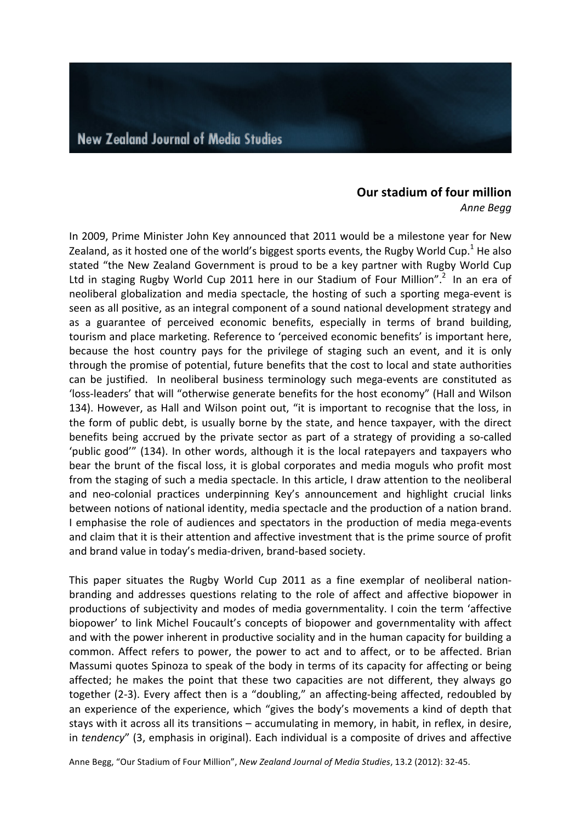# **Our stadium of four million**

*Anne Begg*

In 2009, Prime Minister John Key announced that 2011 would be a milestone year for New Zealand, as it hosted one of the world's biggest sports events, the Rugby World Cup.<sup>1</sup> He also stated "the New Zealand Government is proud to be a key partner with Rugby World Cup Ltd in staging Rugby World Cup 2011 here in our Stadium of Four Million".<sup>2</sup> In an era of neoliberal globalization and media spectacle, the hosting of such a sporting mega-event is seen as all positive, as an integral component of a sound national development strategy and as a guarantee of perceived economic benefits, especially in terms of brand building, tourism and place marketing. Reference to 'perceived economic benefits' is important here, because the host country pays for the privilege of staging such an event, and it is only through the promise of potential, future benefits that the cost to local and state authorities can be justified. In neoliberal business terminology such mega-events are constituted as 'loss-leaders' that will "otherwise generate benefits for the host economy" (Hall and Wilson 134). However, as Hall and Wilson point out, "it is important to recognise that the loss, in the form of public debt, is usually borne by the state, and hence taxpayer, with the direct benefits being accrued by the private sector as part of a strategy of providing a so-called 'public good'" (134). In other words, although it is the local ratepayers and taxpayers who bear the brunt of the fiscal loss, it is global corporates and media moguls who profit most from the staging of such a media spectacle. In this article, I draw attention to the neoliberal and neo-colonial practices underpinning Key's announcement and highlight crucial links between notions of national identity, media spectacle and the production of a nation brand. I emphasise the role of audiences and spectators in the production of media mega-events and claim that it is their attention and affective investment that is the prime source of profit and brand value in today's media-driven, brand-based society.

This paper situates the Rugby World Cup 2011 as a fine exemplar of neoliberal nationbranding and addresses questions relating to the role of affect and affective biopower in productions of subjectivity and modes of media governmentality. I coin the term 'affective biopower' to link Michel Foucault's concepts of biopower and governmentality with affect and with the power inherent in productive sociality and in the human capacity for building a common. Affect refers to power, the power to act and to affect, or to be affected. Brian Massumi quotes Spinoza to speak of the body in terms of its capacity for affecting or being affected; he makes the point that these two capacities are not different, they always go together (2-3). Every affect then is a "doubling," an affecting-being affected, redoubled by an experience of the experience, which "gives the body's movements a kind of depth that stays with it across all its transitions – accumulating in memory, in habit, in reflex, in desire, in *tendency*" (3, emphasis in original). Each individual is a composite of drives and affective

Anne Begg, "Our Stadium of Four Million", *New Zealand Journal of Media Studies*, 13.2 (2012): 32-45.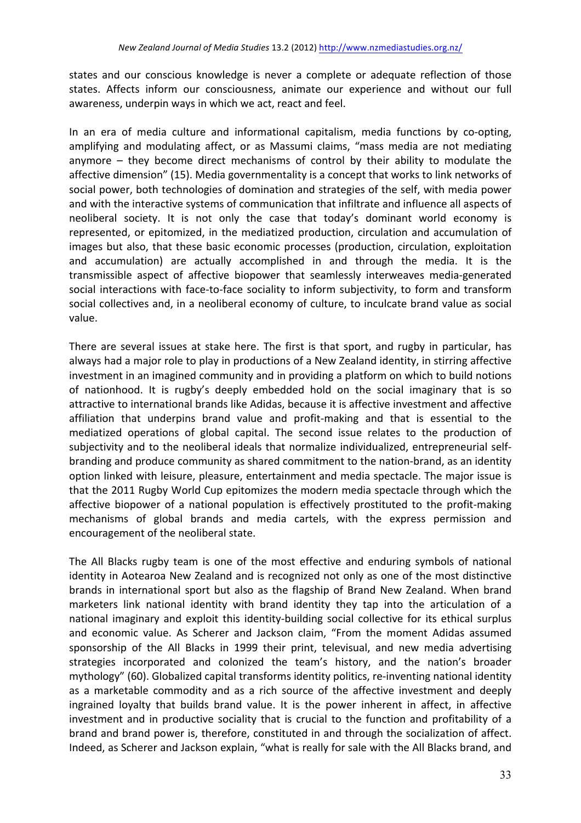states and our conscious knowledge is never a complete or adequate reflection of those states. Affects inform our consciousness, animate our experience and without our full awareness, underpin ways in which we act, react and feel.

In an era of media culture and informational capitalism, media functions by co-opting, amplifying and modulating affect, or as Massumi claims, "mass media are not mediating anymore  $-$  they become direct mechanisms of control by their ability to modulate the affective dimension" (15). Media governmentality is a concept that works to link networks of social power, both technologies of domination and strategies of the self, with media power and with the interactive systems of communication that infiltrate and influence all aspects of neoliberal society. It is not only the case that today's dominant world economy is represented, or epitomized, in the mediatized production, circulation and accumulation of images but also, that these basic economic processes (production, circulation, exploitation and accumulation) are actually accomplished in and through the media. It is the transmissible aspect of affective biopower that seamlessly interweaves media-generated social interactions with face-to-face sociality to inform subjectivity, to form and transform social collectives and, in a neoliberal economy of culture, to inculcate brand value as social value.

There are several issues at stake here. The first is that sport, and rugby in particular, has always had a major role to play in productions of a New Zealand identity, in stirring affective investment in an imagined community and in providing a platform on which to build notions of nationhood. It is rugby's deeply embedded hold on the social imaginary that is so attractive to international brands like Adidas, because it is affective investment and affective affiliation that underpins brand value and profit-making and that is essential to the mediatized operations of global capital. The second issue relates to the production of subiectivity and to the neoliberal ideals that normalize individualized, entrepreneurial selfbranding and produce community as shared commitment to the nation-brand, as an identity option linked with leisure, pleasure, entertainment and media spectacle. The major issue is that the 2011 Rugby World Cup epitomizes the modern media spectacle through which the affective biopower of a national population is effectively prostituted to the profit-making mechanisms of global brands and media cartels, with the express permission and encouragement of the neoliberal state.

The All Blacks rugby team is one of the most effective and enduring symbols of national identity in Aotearoa New Zealand and is recognized not only as one of the most distinctive brands in international sport but also as the flagship of Brand New Zealand. When brand marketers link national identity with brand identity they tap into the articulation of a national imaginary and exploit this identity-building social collective for its ethical surplus and economic value. As Scherer and Jackson claim, "From the moment Adidas assumed sponsorship of the All Blacks in 1999 their print, televisual, and new media advertising strategies incorporated and colonized the team's history, and the nation's broader mythology" (60). Globalized capital transforms identity politics, re-inventing national identity as a marketable commodity and as a rich source of the affective investment and deeply ingrained loyalty that builds brand value. It is the power inherent in affect, in affective investment and in productive sociality that is crucial to the function and profitability of a brand and brand power is, therefore, constituted in and through the socialization of affect. Indeed, as Scherer and Jackson explain, "what is really for sale with the All Blacks brand, and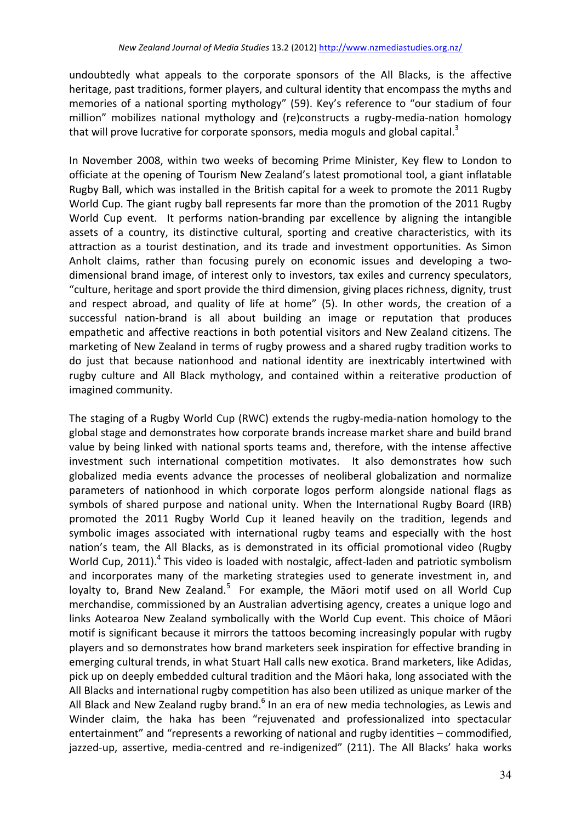undoubtedly what appeals to the corporate sponsors of the All Blacks, is the affective heritage, past traditions, former players, and cultural identity that encompass the myths and memories of a national sporting mythology" (59). Key's reference to "our stadium of four million" mobilizes national mythology and (re)constructs a rugby-media-nation homology that will prove lucrative for corporate sponsors, media moguls and global capital.<sup>3</sup>

In November 2008, within two weeks of becoming Prime Minister, Key flew to London to officiate at the opening of Tourism New Zealand's latest promotional tool, a giant inflatable Rugby Ball, which was installed in the British capital for a week to promote the 2011 Rugby World Cup. The giant rugby ball represents far more than the promotion of the 2011 Rugby World Cup event. It performs nation-branding par excellence by aligning the intangible assets of a country, its distinctive cultural, sporting and creative characteristics, with its attraction as a tourist destination, and its trade and investment opportunities. As Simon Anholt claims, rather than focusing purely on economic issues and developing a twodimensional brand image, of interest only to investors, tax exiles and currency speculators, "culture, heritage and sport provide the third dimension, giving places richness, dignity, trust and respect abroad, and quality of life at home" (5). In other words, the creation of a successful nation-brand is all about building an image or reputation that produces empathetic and affective reactions in both potential visitors and New Zealand citizens. The marketing of New Zealand in terms of rugby prowess and a shared rugby tradition works to do just that because nationhood and national identity are inextricably intertwined with rugby culture and All Black mythology, and contained within a reiterative production of imagined community.

The staging of a Rugby World Cup (RWC) extends the rugby-media-nation homology to the global stage and demonstrates how corporate brands increase market share and build brand value by being linked with national sports teams and, therefore, with the intense affective investment such international competition motivates. It also demonstrates how such globalized media events advance the processes of neoliberal globalization and normalize parameters of nationhood in which corporate logos perform alongside national flags as symbols of shared purpose and national unity. When the International Rugby Board (IRB) promoted the 2011 Rugby World Cup it leaned heavily on the tradition, legends and symbolic images associated with international rugby teams and especially with the host nation's team, the All Blacks, as is demonstrated in its official promotional video (Rugby World Cup, 2011).<sup>4</sup> This video is loaded with nostalgic, affect-laden and patriotic symbolism and incorporates many of the marketing strategies used to generate investment in, and loyalty to, Brand New Zealand.<sup>5</sup> For example, the Māori motif used on all World Cup merchandise, commissioned by an Australian advertising agency, creates a unique logo and links Aotearoa New Zealand symbolically with the World Cup event. This choice of Māori motif is significant because it mirrors the tattoos becoming increasingly popular with rugby players and so demonstrates how brand marketers seek inspiration for effective branding in emerging cultural trends, in what Stuart Hall calls new exotica. Brand marketers, like Adidas, pick up on deeply embedded cultural tradition and the Māori haka, long associated with the All Blacks and international rugby competition has also been utilized as unique marker of the All Black and New Zealand rugby brand.<sup>6</sup> In an era of new media technologies, as Lewis and Winder claim, the haka has been "rejuvenated and professionalized into spectacular entertainment" and "represents a reworking of national and rugby identities – commodified, jazzed-up, assertive, media-centred and re-indigenized" (211). The All Blacks' haka works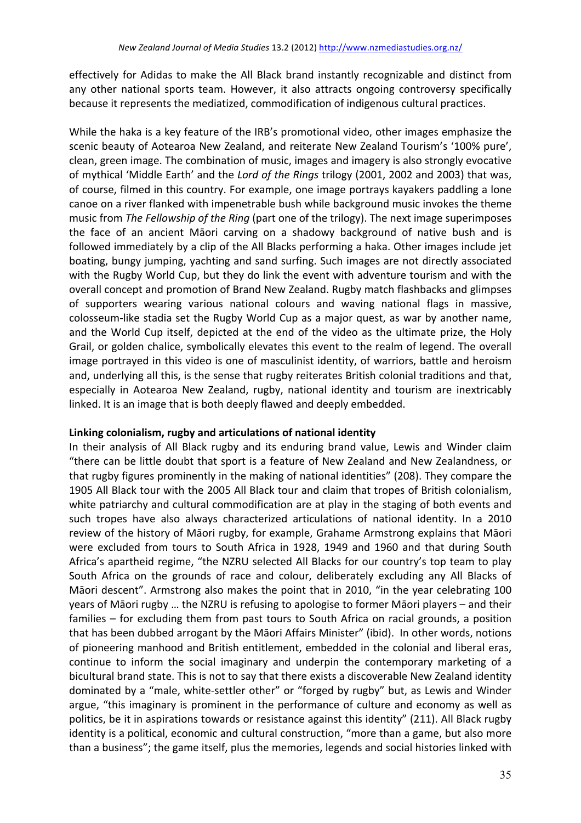effectively for Adidas to make the All Black brand instantly recognizable and distinct from any other national sports team. However, it also attracts ongoing controversy specifically because it represents the mediatized, commodification of indigenous cultural practices.

While the haka is a key feature of the IRB's promotional video, other images emphasize the scenic beauty of Aotearoa New Zealand, and reiterate New Zealand Tourism's '100% pure', clean, green image. The combination of music, images and imagery is also strongly evocative of mythical 'Middle Earth' and the *Lord of the Rings* trilogy (2001, 2002 and 2003) that was, of course, filmed in this country. For example, one image portrays kayakers paddling a lone canoe on a river flanked with impenetrable bush while background music invokes the theme music from *The Fellowship of the Ring* (part one of the trilogy). The next image superimposes the face of an ancient Māori carving on a shadowy background of native bush and is followed immediately by a clip of the All Blacks performing a haka. Other images include jet boating, bungy jumping, yachting and sand surfing. Such images are not directly associated with the Rugby World Cup, but they do link the event with adventure tourism and with the overall concept and promotion of Brand New Zealand. Rugby match flashbacks and glimpses of supporters wearing various national colours and waving national flags in massive, colosseum-like stadia set the Rugby World Cup as a major quest, as war by another name, and the World Cup itself, depicted at the end of the video as the ultimate prize, the Holy Grail, or golden chalice, symbolically elevates this event to the realm of legend. The overall image portrayed in this video is one of masculinist identity, of warriors, battle and heroism and, underlying all this, is the sense that rugby reiterates British colonial traditions and that, especially in Aotearoa New Zealand, rugby, national identity and tourism are inextricably linked. It is an image that is both deeply flawed and deeply embedded.

### Linking colonialism, rugby and articulations of national identity

In their analysis of All Black rugby and its enduring brand value, Lewis and Winder claim "there can be little doubt that sport is a feature of New Zealand and New Zealandness, or that rugby figures prominently in the making of national identities" (208). They compare the 1905 All Black tour with the 2005 All Black tour and claim that tropes of British colonialism, white patriarchy and cultural commodification are at play in the staging of both events and such tropes have also always characterized articulations of national identity. In a 2010 review of the history of Māori rugby, for example, Grahame Armstrong explains that Māori were excluded from tours to South Africa in 1928, 1949 and 1960 and that during South Africa's apartheid regime, "the NZRU selected All Blacks for our country's top team to play South Africa on the grounds of race and colour, deliberately excluding any All Blacks of Māori descent". Armstrong also makes the point that in 2010, "in the year celebrating 100 years of Māori rugby ... the NZRU is refusing to apologise to former Māori players – and their families – for excluding them from past tours to South Africa on racial grounds, a position that has been dubbed arrogant by the Māori Affairs Minister" (ibid). In other words, notions of pioneering manhood and British entitlement, embedded in the colonial and liberal eras, continue to inform the social imaginary and underpin the contemporary marketing of a bicultural brand state. This is not to say that there exists a discoverable New Zealand identity dominated by a "male, white-settler other" or "forged by rugby" but, as Lewis and Winder argue, "this imaginary is prominent in the performance of culture and economy as well as politics, be it in aspirations towards or resistance against this identity" (211). All Black rugby identity is a political, economic and cultural construction, "more than a game, but also more than a business"; the game itself, plus the memories, legends and social histories linked with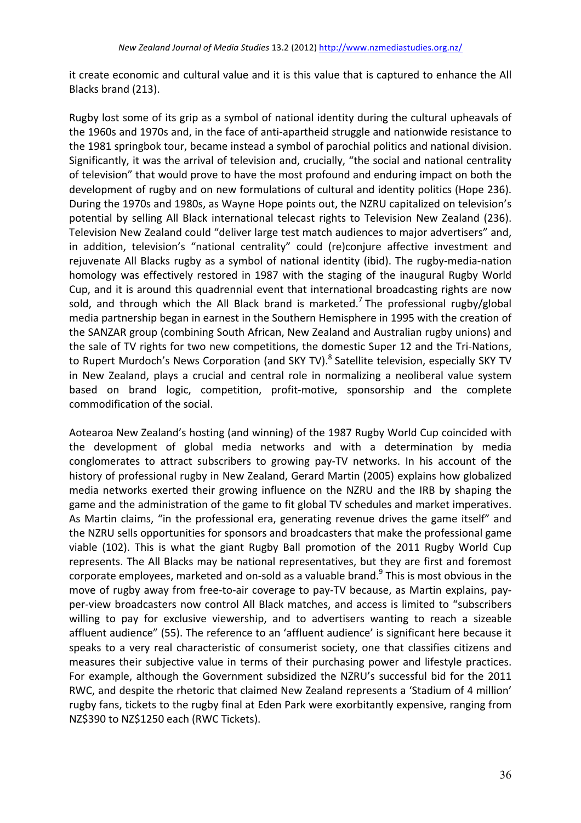it create economic and cultural value and it is this value that is captured to enhance the All Blacks brand (213).

Rugby lost some of its grip as a symbol of national identity during the cultural upheavals of the 1960s and 1970s and, in the face of anti-apartheid struggle and nationwide resistance to the 1981 springbok tour, became instead a symbol of parochial politics and national division. Significantly, it was the arrival of television and, crucially, "the social and national centrality of television" that would prove to have the most profound and enduring impact on both the development of rugby and on new formulations of cultural and identity politics (Hope 236). During the 1970s and 1980s, as Wayne Hope points out, the NZRU capitalized on television's potential by selling All Black international telecast rights to Television New Zealand (236). Television New Zealand could "deliver large test match audiences to major advertisers" and, in addition, television's "national centrality" could (re)conjure affective investment and rejuvenate All Blacks rugby as a symbol of national identity (ibid). The rugby-media-nation homology was effectively restored in 1987 with the staging of the inaugural Rugby World Cup, and it is around this quadrennial event that international broadcasting rights are now sold, and through which the All Black brand is marketed.<sup>7</sup> The professional rugby/global media partnership began in earnest in the Southern Hemisphere in 1995 with the creation of the SANZAR group (combining South African, New Zealand and Australian rugby unions) and the sale of TV rights for two new competitions, the domestic Super 12 and the Tri-Nations, to Rupert Murdoch's News Corporation (and SKY TV).<sup>8</sup> Satellite television, especially SKY TV in New Zealand, plays a crucial and central role in normalizing a neoliberal value system based on brand logic, competition, profit-motive, sponsorship and the complete commodification of the social.

Aotearoa New Zealand's hosting (and winning) of the 1987 Rugby World Cup coincided with the development of global media networks and with a determination by media conglomerates to attract subscribers to growing pay-TV networks. In his account of the history of professional rugby in New Zealand, Gerard Martin (2005) explains how globalized media networks exerted their growing influence on the NZRU and the IRB by shaping the game and the administration of the game to fit global TV schedules and market imperatives. As Martin claims, "in the professional era, generating revenue drives the game itself" and the NZRU sells opportunities for sponsors and broadcasters that make the professional game viable (102). This is what the giant Rugby Ball promotion of the 2011 Rugby World Cup represents. The All Blacks may be national representatives, but they are first and foremost corporate employees, marketed and on-sold as a valuable brand. $9$  This is most obvious in the move of rugby away from free-to-air coverage to pay-TV because, as Martin explains, payper-view broadcasters now control All Black matches, and access is limited to "subscribers willing to pay for exclusive viewership, and to advertisers wanting to reach a sizeable affluent audience" (55). The reference to an 'affluent audience' is significant here because it speaks to a very real characteristic of consumerist society, one that classifies citizens and measures their subjective value in terms of their purchasing power and lifestyle practices. For example, although the Government subsidized the NZRU's successful bid for the 2011 RWC, and despite the rhetoric that claimed New Zealand represents a 'Stadium of 4 million' rugby fans, tickets to the rugby final at Eden Park were exorbitantly expensive, ranging from NZ\$390 to NZ\$1250 each (RWC Tickets).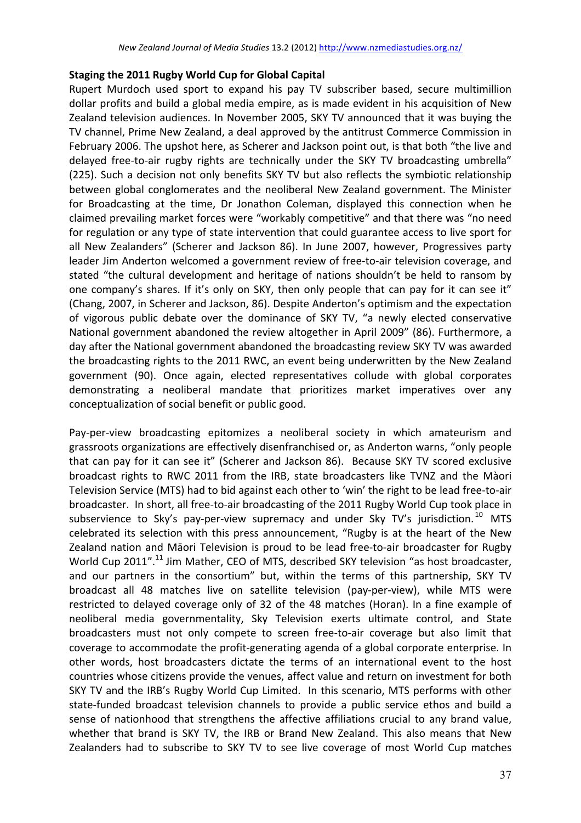## **Staging the 2011 Rugby World Cup for Global Capital**

Rupert Murdoch used sport to expand his pay TV subscriber based, secure multimillion dollar profits and build a global media empire, as is made evident in his acquisition of New Zealand television audiences. In November 2005, SKY TV announced that it was buying the TV channel, Prime New Zealand, a deal approved by the antitrust Commerce Commission in February 2006. The upshot here, as Scherer and Jackson point out, is that both "the live and delayed free-to-air rugby rights are technically under the SKY TV broadcasting umbrella" (225). Such a decision not only benefits SKY TV but also reflects the symbiotic relationship between global conglomerates and the neoliberal New Zealand government. The Minister for Broadcasting at the time, Dr Jonathon Coleman, displayed this connection when he claimed prevailing market forces were "workably competitive" and that there was "no need for regulation or any type of state intervention that could guarantee access to live sport for all New Zealanders" (Scherer and Jackson 86). In June 2007, however, Progressives party leader Jim Anderton welcomed a government review of free-to-air television coverage, and stated "the cultural development and heritage of nations shouldn't be held to ransom by one company's shares. If it's only on SKY, then only people that can pay for it can see it" (Chang, 2007, in Scherer and Jackson, 86). Despite Anderton's optimism and the expectation of vigorous public debate over the dominance of SKY TV, "a newly elected conservative National government abandoned the review altogether in April 2009" (86). Furthermore, a day after the National government abandoned the broadcasting review SKY TV was awarded the broadcasting rights to the 2011 RWC, an event being underwritten by the New Zealand government (90). Once again, elected representatives collude with global corporates demonstrating a neoliberal mandate that prioritizes market imperatives over any conceptualization of social benefit or public good.

Pay-per-view broadcasting epitomizes a neoliberal society in which amateurism and grassroots organizations are effectively disenfranchised or, as Anderton warns, "only people that can pay for it can see it" (Scherer and Jackson 86). Because SKY TV scored exclusive broadcast rights to RWC 2011 from the IRB, state broadcasters like TVNZ and the Màori Television Service (MTS) had to bid against each other to 'win' the right to be lead free-to-air broadcaster. In short, all free-to-air broadcasting of the 2011 Rugby World Cup took place in subservience to Sky's pay-per-view supremacy and under Sky TV's jurisdiction.<sup>10</sup> MTS celebrated its selection with this press announcement, "Rugby is at the heart of the New Zealand nation and Māori Television is proud to be lead free-to-air broadcaster for Rugby World Cup 2011".<sup>11</sup> Jim Mather, CEO of MTS, described SKY television "as host broadcaster, and our partners in the consortium" but, within the terms of this partnership, SKY TV broadcast all 48 matches live on satellite television (pay-per-view), while MTS were restricted to delayed coverage only of 32 of the 48 matches (Horan). In a fine example of neoliberal media governmentality, Sky Television exerts ultimate control, and State broadcasters must not only compete to screen free-to-air coverage but also limit that coverage to accommodate the profit-generating agenda of a global corporate enterprise. In other words, host broadcasters dictate the terms of an international event to the host countries whose citizens provide the venues, affect value and return on investment for both SKY TV and the IRB's Rugby World Cup Limited. In this scenario, MTS performs with other state-funded broadcast television channels to provide a public service ethos and build a sense of nationhood that strengthens the affective affiliations crucial to any brand value, whether that brand is SKY TV, the IRB or Brand New Zealand. This also means that New Zealanders had to subscribe to SKY TV to see live coverage of most World Cup matches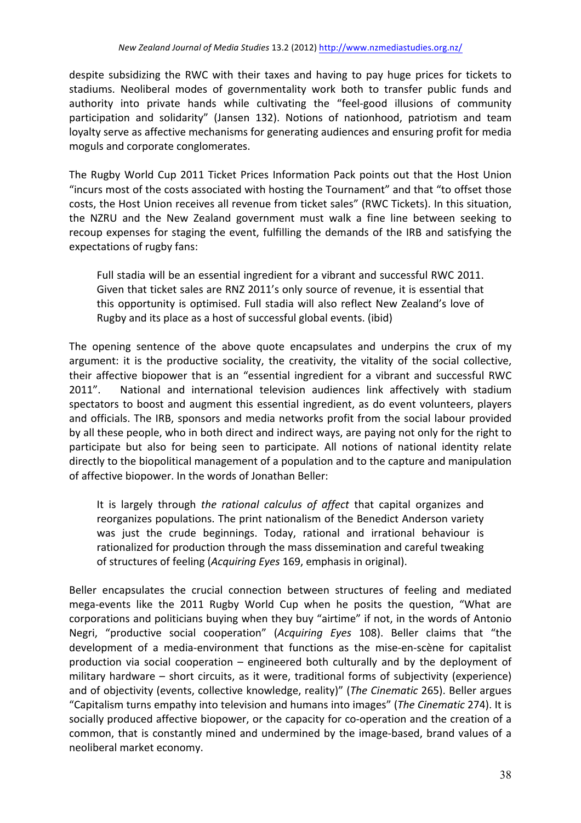despite subsidizing the RWC with their taxes and having to pay huge prices for tickets to stadiums. Neoliberal modes of governmentality work both to transfer public funds and authority into private hands while cultivating the "feel-good illusions of community participation and solidarity" (Jansen 132). Notions of nationhood, patriotism and team loyalty serve as affective mechanisms for generating audiences and ensuring profit for media moguls and corporate conglomerates.

The Rugby World Cup 2011 Ticket Prices Information Pack points out that the Host Union "incurs most of the costs associated with hosting the Tournament" and that "to offset those costs, the Host Union receives all revenue from ticket sales" (RWC Tickets). In this situation, the NZRU and the New Zealand government must walk a fine line between seeking to recoup expenses for staging the event, fulfilling the demands of the IRB and satisfying the expectations of rugby fans:

Full stadia will be an essential ingredient for a vibrant and successful RWC 2011. Given that ticket sales are RNZ 2011's only source of revenue, it is essential that this opportunity is optimised. Full stadia will also reflect New Zealand's love of Rugby and its place as a host of successful global events. (ibid)

The opening sentence of the above quote encapsulates and underpins the crux of my argument: it is the productive sociality, the creativity, the vitality of the social collective, their affective biopower that is an "essential ingredient for a vibrant and successful RWC 2011". National and international television audiences link affectively with stadium spectators to boost and augment this essential ingredient, as do event volunteers, players and officials. The IRB, sponsors and media networks profit from the social labour provided by all these people, who in both direct and indirect ways, are paying not only for the right to participate but also for being seen to participate. All notions of national identity relate directly to the biopolitical management of a population and to the capture and manipulation of affective biopower. In the words of Jonathan Beller:

It is largely through *the rational calculus of affect* that capital organizes and reorganizes populations. The print nationalism of the Benedict Anderson variety was just the crude beginnings. Today, rational and irrational behaviour is rationalized for production through the mass dissemination and careful tweaking of structures of feeling (*Acquiring Eyes* 169, emphasis in original).

Beller encapsulates the crucial connection between structures of feeling and mediated mega-events like the 2011 Rugby World Cup when he posits the question, "What are corporations and politicians buying when they buy "airtime" if not, in the words of Antonio Negri, "productive social cooperation" (*Acquiring Eyes* 108). Beller claims that "the development of a media-environment that functions as the mise-en-scène for capitalist production via social cooperation  $-$  engineered both culturally and by the deployment of military hardware – short circuits, as it were, traditional forms of subjectivity (experience) and of objectivity (events, collective knowledge, reality)" (*The Cinematic* 265). Beller argues "Capitalism turns empathy into television and humans into images" (*The Cinematic* 274). It is socially produced affective biopower, or the capacity for co-operation and the creation of a common, that is constantly mined and undermined by the image-based, brand values of a neoliberal market economy.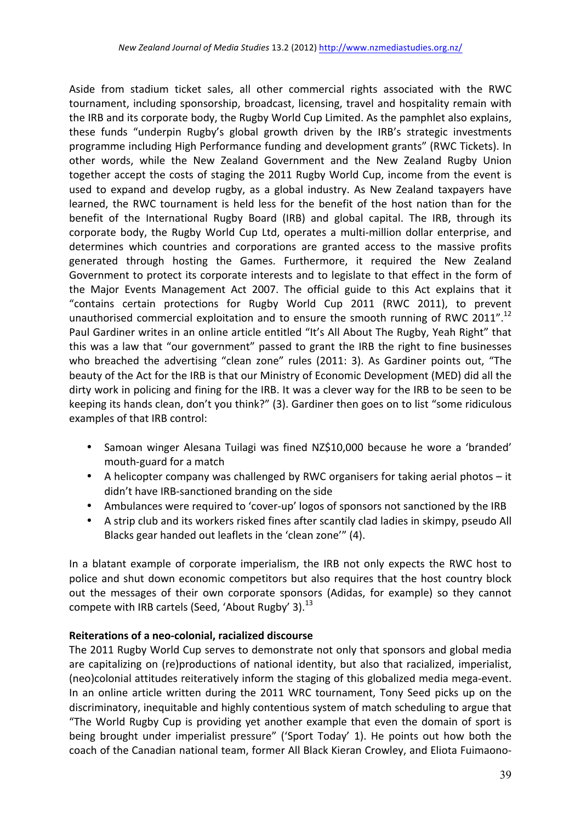Aside from stadium ticket sales, all other commercial rights associated with the RWC tournament, including sponsorship, broadcast, licensing, travel and hospitality remain with the IRB and its corporate body, the Rugby World Cup Limited. As the pamphlet also explains, these funds "underpin Rugby's global growth driven by the IRB's strategic investments programme including High Performance funding and development grants" (RWC Tickets). In other words, while the New Zealand Government and the New Zealand Rugby Union together accept the costs of staging the 2011 Rugby World Cup, income from the event is used to expand and develop rugby, as a global industry. As New Zealand taxpayers have learned, the RWC tournament is held less for the benefit of the host nation than for the benefit of the International Rugby Board (IRB) and global capital. The IRB, through its corporate body, the Rugby World Cup Ltd, operates a multi-million dollar enterprise, and determines which countries and corporations are granted access to the massive profits generated through hosting the Games. Furthermore, it required the New Zealand Government to protect its corporate interests and to legislate to that effect in the form of the Major Events Management Act 2007. The official guide to this Act explains that it "contains certain protections for Rugby World Cup 2011 (RWC 2011), to prevent unauthorised commercial exploitation and to ensure the smooth running of RWC 2011".<sup>12</sup> Paul Gardiner writes in an online article entitled "It's All About The Rugby, Yeah Right" that this was a law that "our government" passed to grant the IRB the right to fine businesses who breached the advertising "clean zone" rules (2011: 3). As Gardiner points out, "The beauty of the Act for the IRB is that our Ministry of Economic Development (MED) did all the dirty work in policing and fining for the IRB. It was a clever way for the IRB to be seen to be keeping its hands clean, don't you think?" (3). Gardiner then goes on to list "some ridiculous examples of that IRB control:

- Samoan winger Alesana Tuilagi was fined NZ\$10,000 because he wore a 'branded' mouth-guard for a match
- A helicopter company was challenged by RWC organisers for taking aerial photos  $-$  it didn't have IRB-sanctioned branding on the side
- Ambulances were required to 'cover-up' logos of sponsors not sanctioned by the IRB
- A strip club and its workers risked fines after scantily clad ladies in skimpy, pseudo All Blacks gear handed out leaflets in the 'clean zone'" (4).

In a blatant example of corporate imperialism, the IRB not only expects the RWC host to police and shut down economic competitors but also requires that the host country block out the messages of their own corporate sponsors (Adidas, for example) so they cannot compete with IRB cartels (Seed, 'About Rugby' 3). $^{13}$ 

# **Reiterations of a neo-colonial, racialized discourse**

The 2011 Rugby World Cup serves to demonstrate not only that sponsors and global media are capitalizing on (re)productions of national identity, but also that racialized, imperialist, (neo)colonial attitudes reiteratively inform the staging of this globalized media mega-event. In an online article written during the 2011 WRC tournament, Tony Seed picks up on the discriminatory, inequitable and highly contentious system of match scheduling to argue that "The World Rugby Cup is providing yet another example that even the domain of sport is being brought under imperialist pressure" ('Sport Today' 1). He points out how both the coach of the Canadian national team, former All Black Kieran Crowley, and Eliota Fuimaono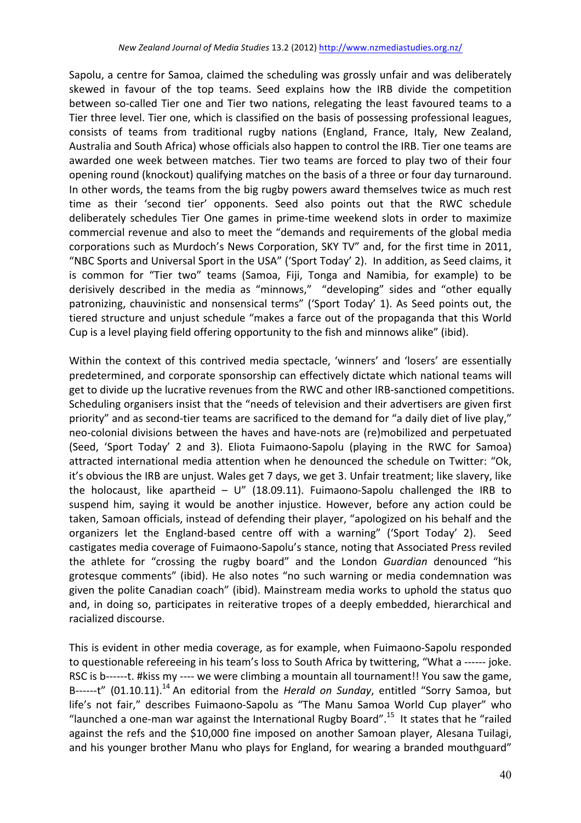Sapolu, a centre for Samoa, claimed the scheduling was grossly unfair and was deliberately skewed in favour of the top teams. Seed explains how the IRB divide the competition between so-called Tier one and Tier two nations, relegating the least favoured teams to a Tier three level. Tier one, which is classified on the basis of possessing professional leagues, consists of teams from traditional rugby nations (England, France, Italy, New Zealand, Australia and South Africa) whose officials also happen to control the IRB. Tier one teams are awarded one week between matches. Tier two teams are forced to play two of their four opening round (knockout) qualifying matches on the basis of a three or four day turnaround. In other words, the teams from the big rugby powers award themselves twice as much rest time as their 'second tier' opponents. Seed also points out that the RWC schedule deliberately schedules Tier One games in prime-time weekend slots in order to maximize commercial revenue and also to meet the "demands and requirements of the global media corporations such as Murdoch's News Corporation, SKY TV" and, for the first time in 2011, "NBC Sports and Universal Sport in the USA" ('Sport Today' 2). In addition, as Seed claims, it is common for "Tier two" teams (Samoa, Fiji, Tonga and Namibia, for example) to be derisively described in the media as "minnows," "developing" sides and "other equally patronizing, chauvinistic and nonsensical terms" ('Sport Today' 1). As Seed points out, the tiered structure and unjust schedule "makes a farce out of the propaganda that this World Cup is a level playing field offering opportunity to the fish and minnows alike" (ibid).

Within the context of this contrived media spectacle, 'winners' and 'losers' are essentially predetermined, and corporate sponsorship can effectively dictate which national teams will get to divide up the lucrative revenues from the RWC and other IRB-sanctioned competitions. Scheduling organisers insist that the "needs of television and their advertisers are given first priority" and as second-tier teams are sacrificed to the demand for "a daily diet of live play," neo-colonial divisions between the haves and have-nots are (re)mobilized and perpetuated (Seed, 'Sport Today' 2 and 3). Eliota Fuimaono-Sapolu (playing in the RWC for Samoa) attracted international media attention when he denounced the schedule on Twitter: "Ok, it's obvious the IRB are unjust. Wales get 7 days, we get 3. Unfair treatment; like slavery, like the holocaust, like apartheid  $- U''$  (18.09.11). Fuimaono-Sapolu challenged the IRB to suspend him, saying it would be another injustice. However, before any action could be taken, Samoan officials, instead of defending their player, "apologized on his behalf and the organizers let the England-based centre off with a warning" ('Sport Today' 2). Seed castigates media coverage of Fuimaono-Sapolu's stance, noting that Associated Press reviled the athlete for "crossing the rugby board" and the London *Guardian* denounced "his grotesque comments" (ibid). He also notes "no such warning or media condemnation was given the polite Canadian coach" (ibid). Mainstream media works to uphold the status quo and, in doing so, participates in reiterative tropes of a deeply embedded, hierarchical and racialized discourse.

This is evident in other media coverage, as for example, when Fuimaono-Sapolu responded to questionable refereeing in his team's loss to South Africa by twittering, "What a ------ joke. RSC is b------t. #kiss my ---- we were climbing a mountain all tournament!! You saw the game, B------t" (01.10.11).<sup>14</sup> An editorial from the *Herald on Sunday*, entitled "Sorry Samoa, but life's not fair," describes Fuimaono-Sapolu as "The Manu Samoa World Cup player" who "launched a one-man war against the International Rugby Board".<sup>15</sup> It states that he "railed against the refs and the \$10,000 fine imposed on another Samoan player, Alesana Tuilagi, and his younger brother Manu who plays for England, for wearing a branded mouthguard"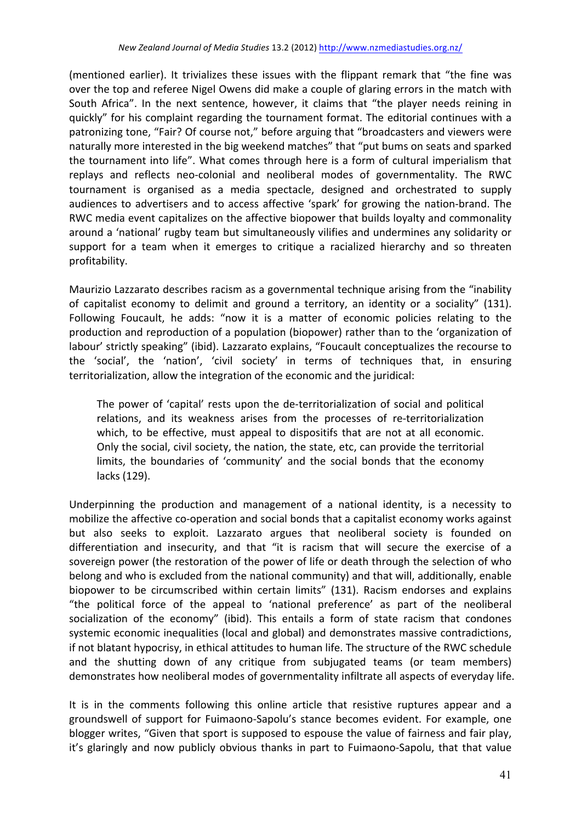(mentioned earlier). It trivializes these issues with the flippant remark that "the fine was over the top and referee Nigel Owens did make a couple of glaring errors in the match with South Africa". In the next sentence, however, it claims that "the player needs reining in quickly" for his complaint regarding the tournament format. The editorial continues with a patronizing tone, "Fair? Of course not," before arguing that "broadcasters and viewers were naturally more interested in the big weekend matches" that "put bums on seats and sparked the tournament into life". What comes through here is a form of cultural imperialism that replays and reflects neo-colonial and neoliberal modes of governmentality. The RWC tournament is organised as a media spectacle, designed and orchestrated to supply audiences to advertisers and to access affective 'spark' for growing the nation-brand. The RWC media event capitalizes on the affective biopower that builds loyalty and commonality around a 'national' rugby team but simultaneously vilifies and undermines any solidarity or support for a team when it emerges to critique a racialized hierarchy and so threaten profitability.

Maurizio Lazzarato describes racism as a governmental technique arising from the "inability of capitalist economy to delimit and ground a territory, an identity or a sociality" (131). Following Foucault, he adds: "now it is a matter of economic policies relating to the production and reproduction of a population (biopower) rather than to the 'organization of labour' strictly speaking" (ibid). Lazzarato explains, "Foucault conceptualizes the recourse to the 'social', the 'nation', 'civil society' in terms of techniques that, in ensuring territorialization, allow the integration of the economic and the juridical:

The power of 'capital' rests upon the de-territorialization of social and political relations, and its weakness arises from the processes of re-territorialization which, to be effective, must appeal to dispositifs that are not at all economic. Only the social, civil society, the nation, the state, etc, can provide the territorial limits, the boundaries of 'community' and the social bonds that the economy lacks (129).

Underpinning the production and management of a national identity, is a necessity to mobilize the affective co-operation and social bonds that a capitalist economy works against but also seeks to exploit. Lazzarato argues that neoliberal society is founded on differentiation and insecurity, and that "it is racism that will secure the exercise of a sovereign power (the restoration of the power of life or death through the selection of who belong and who is excluded from the national community) and that will, additionally, enable biopower to be circumscribed within certain limits" (131). Racism endorses and explains "the political force of the appeal to 'national preference' as part of the neoliberal socialization of the economy" (ibid). This entails a form of state racism that condones systemic economic inequalities (local and global) and demonstrates massive contradictions, if not blatant hypocrisy, in ethical attitudes to human life. The structure of the RWC schedule and the shutting down of any critique from subjugated teams (or team members) demonstrates how neoliberal modes of governmentality infiltrate all aspects of everyday life.

It is in the comments following this online article that resistive ruptures appear and a groundswell of support for Fuimaono-Sapolu's stance becomes evident. For example, one blogger writes, "Given that sport is supposed to espouse the value of fairness and fair play, it's glaringly and now publicly obvious thanks in part to Fuimaono-Sapolu, that that value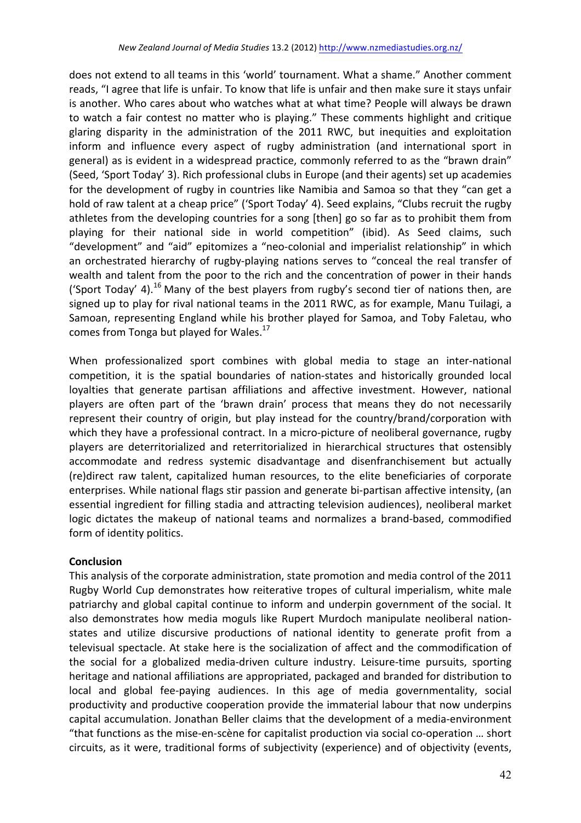does not extend to all teams in this 'world' tournament. What a shame." Another comment reads, "I agree that life is unfair. To know that life is unfair and then make sure it stays unfair is another. Who cares about who watches what at what time? People will always be drawn to watch a fair contest no matter who is playing." These comments highlight and critique glaring disparity in the administration of the 2011 RWC, but inequities and exploitation inform and influence every aspect of rugby administration (and international sport in general) as is evident in a widespread practice, commonly referred to as the "brawn drain" (Seed, 'Sport Today' 3). Rich professional clubs in Europe (and their agents) set up academies for the development of rugby in countries like Namibia and Samoa so that they "can get a hold of raw talent at a cheap price" ('Sport Today' 4). Seed explains, "Clubs recruit the rugby athletes from the developing countries for a song [then] go so far as to prohibit them from playing for their national side in world competition" (ibid). As Seed claims, such "development" and "aid" epitomizes a "neo-colonial and imperialist relationship" in which an orchestrated hierarchy of rugby-playing nations serves to "conceal the real transfer of wealth and talent from the poor to the rich and the concentration of power in their hands ('Sport Today' 4).<sup>16</sup> Many of the best players from rugby's second tier of nations then, are signed up to play for rival national teams in the 2011 RWC, as for example, Manu Tuilagi, a Samoan, representing England while his brother played for Samoa, and Toby Faletau, who comes from Tonga but played for Wales.<sup>17</sup>

When professionalized sport combines with global media to stage an inter-national competition, it is the spatial boundaries of nation-states and historically grounded local loyalties that generate partisan affiliations and affective investment. However, national players are often part of the 'brawn drain' process that means they do not necessarily represent their country of origin, but play instead for the country/brand/corporation with which they have a professional contract. In a micro-picture of neoliberal governance, rugby players are deterritorialized and reterritorialized in hierarchical structures that ostensibly accommodate and redress systemic disadvantage and disenfranchisement but actually (re)direct raw talent, capitalized human resources, to the elite beneficiaries of corporate enterprises. While national flags stir passion and generate bi-partisan affective intensity, (an essential ingredient for filling stadia and attracting television audiences), neoliberal market logic dictates the makeup of national teams and normalizes a brand-based, commodified form of identity politics.

# **Conclusion**

This analysis of the corporate administration, state promotion and media control of the 2011 Rugby World Cup demonstrates how reiterative tropes of cultural imperialism, white male patriarchy and global capital continue to inform and underpin government of the social. It also demonstrates how media moguls like Rupert Murdoch manipulate neoliberal nationstates and utilize discursive productions of national identity to generate profit from a televisual spectacle. At stake here is the socialization of affect and the commodification of the social for a globalized media-driven culture industry. Leisure-time pursuits, sporting heritage and national affiliations are appropriated, packaged and branded for distribution to local and global fee-paying audiences. In this age of media governmentality, social productivity and productive cooperation provide the immaterial labour that now underpins capital accumulation. Jonathan Beller claims that the development of a media-environment "that functions as the mise-en-scène for capitalist production via social co-operation ... short circuits, as it were, traditional forms of subjectivity (experience) and of objectivity (events,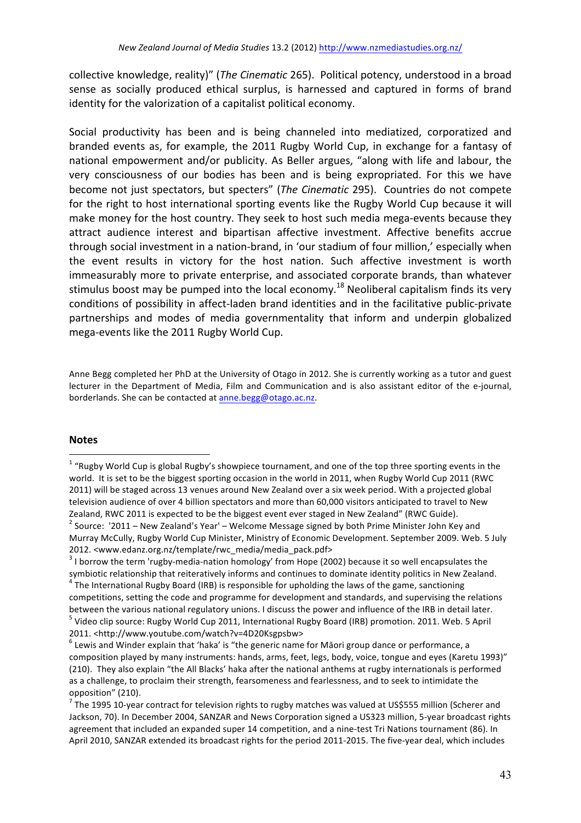collective knowledge, reality)" (*The Cinematic* 265). Political potency, understood in a broad sense as socially produced ethical surplus, is harnessed and captured in forms of brand identity for the valorization of a capitalist political economy.

Social productivity has been and is being channeled into mediatized, corporatized and branded events as, for example, the 2011 Rugby World Cup, in exchange for a fantasy of national empowerment and/or publicity. As Beller argues, "along with life and labour, the very consciousness of our bodies has been and is being expropriated. For this we have become not just spectators, but specters" (*The Cinematic* 295). Countries do not compete for the right to host international sporting events like the Rugby World Cup because it will make money for the host country. They seek to host such media mega-events because they attract audience interest and bipartisan affective investment. Affective benefits accrue through social investment in a nation-brand, in 'our stadium of four million,' especially when the event results in victory for the host nation. Such affective investment is worth immeasurably more to private enterprise, and associated corporate brands, than whatever stimulus boost may be pumped into the local economy.<sup>18</sup> Neoliberal capitalism finds its very conditions of possibility in affect-laden brand identities and in the facilitative public-private partnerships and modes of media governmentality that inform and underpin globalized mega-events like the 2011 Rugby World Cup.

Anne Begg completed her PhD at the University of Otago in 2012. She is currently working as a tutor and guest lecturer in the Department of Media, Film and Communication and is also assistant editor of the e-journal, borderlands. She can be contacted at anne.begg@otago.ac.nz.

### **Notes**

 $1$  "Rugby World Cup is global Rugby's showpiece tournament, and one of the top three sporting events in the world. It is set to be the biggest sporting occasion in the world in 2011, when Rugby World Cup 2011 (RWC 2011) will be staged across 13 venues around New Zealand over a six week period. With a projected global television audience of over 4 billion spectators and more than 60,000 visitors anticipated to travel to New Zealand, RWC 2011 is expected to be the biggest event ever staged in New Zealand" (RWC Guide).<br>
<sup>2</sup> Source:  $\sqrt{2011} -$  New Zealand's Year' – Welcome Message signed by both Prime Minister John Key and Murray McCully, Rugby World Cup Minister, Ministry of Economic Development. September 2009. Web. 5 July

<sup>2012. &</sup>lt;www.edanz.org.nz/template/rwc\_media/media\_pack.pdf><br> $3$  I borrow the term 'rugby-media-nation homology' from Hope (2002) because it so well encapsulates the symbiotic relationship that reiteratively informs and continues to dominate identity politics in New Zealand.  $4$  The International Rugby Board (IRB) is responsible for upholding the laws of the game, sanctioning

competitions, setting the code and programme for development and standards, and supervising the relations between the various national regulatory unions. I discuss the power and influence of the IRB in detail later.<br>
<sup>5</sup> Video clip source: Rugby World Cup 2011, International Rugby Board (IRB) promotion. 2011. Web. 5 April 2011. <http://www.youtube.com/watch?v=4D20Ksgpsbw>

 $6$  Lewis and Winder explain that 'haka' is "the generic name for Māori group dance or performance, a composition played by many instruments: hands, arms, feet, legs, body, voice, tongue and eyes (Karetu 1993)" (210). They also explain "the All Blacks' haka after the national anthems at rugby internationals is performed as a challenge, to proclaim their strength, fearsomeness and fearlessness, and to seek to intimidate the opposition" (210).

 $^7$  The 1995 10-year contract for television rights to rugby matches was valued at US\$555 million (Scherer and Jackson, 70). In December 2004, SANZAR and News Corporation signed a US323 million, 5-year broadcast rights agreement that included an expanded super 14 competition, and a nine-test Tri Nations tournament (86). In April 2010, SANZAR extended its broadcast rights for the period 2011-2015. The five-year deal, which includes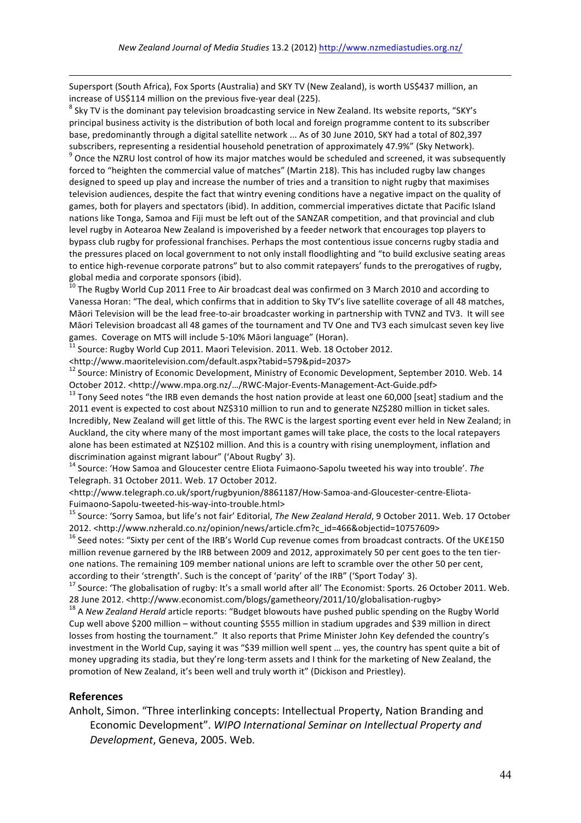Supersport (South Africa), Fox Sports (Australia) and SKY TV (New Zealand), is worth US\$437 million, an increase of US\$114 million on the previous five-year deal (225).<br><sup>8</sup> Sky TV is the dominant pay television broadcasting service in New Zealand. Its website reports, "SKY's

principal business activity is the distribution of both local and foreign programme content to its subscriber base, predominantly through a digital satellite network ... As of 30 June 2010, SKY had a total of 802,397 subscribers, representing a residential household penetration of approximately 47.9%" (Sky Network).<br><sup>9</sup> Once the NZRU lost control of how its major matches would be scheduled and screened, it was subsequently forced to "heighten the commercial value of matches" (Martin 218). This has included rugby law changes designed to speed up play and increase the number of tries and a transition to night rugby that maximises television audiences, despite the fact that wintry evening conditions have a negative impact on the quality of games, both for players and spectators (ibid). In addition, commercial imperatives dictate that Pacific Island nations like Tonga, Samoa and Fiji must be left out of the SANZAR competition, and that provincial and club level rugby in Aotearoa New Zealand is impoverished by a feeder network that encourages top players to bypass club rugby for professional franchises. Perhaps the most contentious issue concerns rugby stadia and the pressures placed on local government to not only install floodlighting and "to build exclusive seating areas to entice high-revenue corporate patrons" but to also commit ratepayers' funds to the prerogatives of rugby, global media and corporate sponsors (ibid).<br><sup>10</sup> The Rugby World Cup 2011 Free to Air broadcast deal was confirmed on 3 March 2010 and according to

Vanessa Horan: "The deal, which confirms that in addition to Sky TV's live satellite coverage of all 48 matches, Māori Television will be the lead free-to-air broadcaster working in partnership with TVNZ and TV3. It will see Māori Television broadcast all 48 games of the tournament and TV One and TV3 each simulcast seven key live games. Coverage on MTS will include 5-10% Māori language" (Horan).<br>
<sup>11</sup> Source: Rugby World Cup 2011. Maori Television. 2011. Web. 18 October 2012.

<http://www.maoritelevision.com/default.aspx?tabid=579&pid=2037>

<sup>12</sup> Source: Ministry of Economic Development, Ministry of Economic Development, September 2010. Web. 14 October 2012. <http://www.mpa.org.nz/.../RWC-Major-Events-Management-Act-Guide.pdf><br> $^{13}$  Tony Seed notes "the IRB even demands the host nation provide at least one 60,000 [seat] stadium and the

2011 event is expected to cost about NZ\$310 million to run and to generate NZ\$280 million in ticket sales. Incredibly, New Zealand will get little of this. The RWC is the largest sporting event ever held in New Zealand; in Auckland, the city where many of the most important games will take place, the costs to the local ratepayers alone has been estimated at NZ\$102 million. And this is a country with rising unemployment, inflation and discrimination against migrant labour" ('About Rugby' 3).

<sup>14</sup> Source: 'How Samoa and Gloucester centre Eliota Fuimaono-Sapolu tweeted his way into trouble'. The Telegraph. 31 October 2011. Web. 17 October 2012.

<http://www.telegraph.co.uk/sport/rugbyunion/8861187/How-Samoa-and-Gloucester-centre-Eliota-

<sup>15</sup> Source: 'Sorry Samoa, but life's not fair' Editorial, The New Zealand Herald, 9 October 2011. Web. 17 October 2012. <http://www.nzherald.co.nz/opinion/news/article.cfm?c\_id=466&objectid=10757609>

 $16$  Seed notes: "Sixty per cent of the IRB's World Cup revenue comes from broadcast contracts. Of the UK£150 million revenue garnered by the IRB between 2009 and 2012, approximately 50 per cent goes to the ten tierone nations. The remaining 109 member national unions are left to scramble over the other 50 per cent, according to their 'strength'. Such is the concept of 'parity' of the IRB" ('Sport Today' 3).

<sup>17</sup> Source: 'The globalisation of rugby: It's a small world after all' The Economist: Sports. 26 October 2011. Web.

28 June 2012. <http://www.economist.com/blogs/gametheory/2011/10/globalisation-rugby><br><sup>18</sup> A *New Zealand Herald* article reports: "Budget blowouts have pushed public spending on the Rugby World Cup well above \$200 million – without counting \$555 million in stadium upgrades and \$39 million in direct losses from hosting the tournament." It also reports that Prime Minister John Key defended the country's investment in the World Cup, saying it was "\$39 million well spent ... yes, the country has spent quite a bit of money upgrading its stadia, but they're long-term assets and I think for the marketing of New Zealand, the promotion of New Zealand, it's been well and truly worth it" (Dickison and Priestley).

#### **References**

1

Anholt, Simon. "Three interlinking concepts: Intellectual Property, Nation Branding and Economic Development". *WIPO International Seminar on Intellectual Property and* Development, Geneva, 2005. Web.